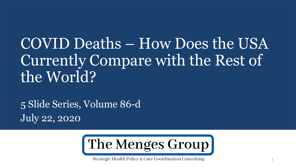# COVID Deaths – How Does the USA Currently Compare with the Rest of the World?

5 Slide Series, Volume 86-d July 22, 2020



Strategic Health Policy & Care Coordination Consulting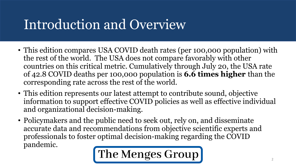## Introduction and Overview

- This edition compares USA COVID death rates (per 100,000 population) with the rest of the world. The USA does not compare favorably with other countries on this critical metric. Cumulatively through July 20, the USA rate of 42.8 COVID deaths per 100,000 population is **6.6 times higher** than the corresponding rate across the rest of the world.
- This edition represents our latest attempt to contribute sound, objective information to support effective COVID policies as well as effective individual and organizational decision-making.
- Policymakers and the public need to seek out, rely on, and disseminate accurate data and recommendations from objective scientific experts and professionals to foster optimal decision-making regarding the COVID pandemic.

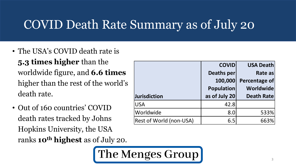#### COVID Death Rate Summary as of July 20

- The USA's COVID death rate is **5.3 times higher** than the worldwide figure, and **6.6 times**  higher than the rest of the world's death rate.
- Out of 160 countries' COVID death rates tracked by Johns Hopkins University, the USA ranks **10<sup>th</sup> highest** as of July 2

|     | Worldwide                      | ا.8 | 533% |
|-----|--------------------------------|-----|------|
|     | <b>Rest of World (non-USA)</b> | 6.5 | 663% |
|     |                                |     |      |
|     |                                |     |      |
| 20. |                                |     |      |
|     |                                |     |      |

 $|USA$  42.8

**COVID** 

**100,000** 

**Deaths per** 

**Population** 

**as of July 20**

The Menges Group

**Jurisdiction**

**USA Death** 

**Percentage of** 

**Worldwide** 

**Death Rate**

533%

**Rate as**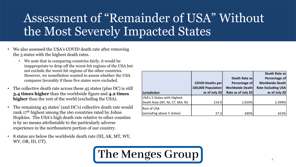#### Assessment of "Remainder of USA" Without the Most Severely Impacted States

- We also assessed the USA's COVID death rate after removing the 5 states with the highest death rates.
	- We note that in comparing countries fairly, it would be inappropriate to drop off the worst-hit regions of the USA but not exclude the worst-hit regions of the other countries. However, we nonetheless wanted to assess whether the USA compares favorably if these five states were excluded.
- The collective death rate across these 45 states (plus DC) is still **3.4 times higher** than the worldwide figure and **4.2 times higher** than the rest of the world (excluding the USA).
- The remaining 45 states' (and DC's) collective death rate would rank 17th highest among the 160 countries rated by Johns Hopkins. The USA's high death rate relative to other counties is by no means attributable to the particularly adverse experience in the northeastern portion of our country.
- 8 states are below the worldwide death rate (HI, AK, MT, WY, WV, OR, ID, UT).



|                                    |                         |                        | Death Rate as             |
|------------------------------------|-------------------------|------------------------|---------------------------|
|                                    |                         | Death Rate as          | Percentage of             |
|                                    | <b>COVID Deaths per</b> | Percentage of          | <b>Worldwide Death</b>    |
|                                    | 100,000 Population      | <b>Worldwide Death</b> | <b>Rate Excluding USA</b> |
| <b>Jurisdiction</b>                | as of July 20           | Rate as of July 20     | as of July 20             |
| <b>USA's 5 States with Highest</b> |                         |                        |                           |
| Death Rate (NY, NJ, CT, MA, RI)    | 154.9                   | 1,929%                 | 2,399%                    |
| Rest of USA                        |                         |                        |                           |
| (excluding above 5 states)         | 27.3                    | 340%                   | 423%                      |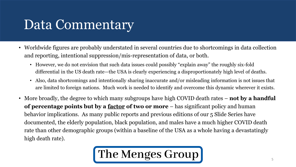### Data Commentary

- Worldwide figures are probably understated in several countries due to shortcomings in data collection and reporting, intentional suppression/mis-representation of data, or both.
	- However, we do not envision that such data issues could possibly "explain away" the roughly six-fold differential in the US death rate—the USA is clearly experiencing a disproportionately high level of deaths.
	- Also, data shortcomings and intentionally sharing inaccurate and/or misleading information is not issues that are limited to foreign nations. Much work is needed to identify and overcome this dynamic wherever it exists.
- More broadly, the degree to which many subgroups have high COVID death rates **not by a handful of percentage points but by a factor of two or more** – has significant policy and human behavior implications. As many public reports and previous editions of our 5 Slide Series have documented, the elderly population, black population, and males have a much higher COVID death rate than other demographic groups (within a baseline of the USA as a whole having a devastatingly high death rate).